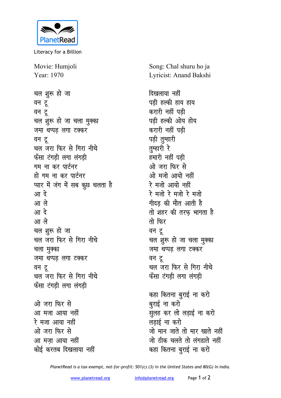

Literacy for a Billion

Movie: Humjoli Year: 1970

चल शुरू हो जा वन टू वन टू चल शुरू हो जा चला मुक्का जमा थप्पड़ लगा टक्कर वन टू चल जरा फिर से गिरा नीचे फँसा टंगडी लगा लंगडी गम ना कर पार्टनर हो गम ना कर पार्टनर प्यार में जंग में सब कुछ चलता है आ दे आ ले आ दे आ ले चल शुरू हो जा चल जरा फिर से गिरा नीचे चला मुक्का जमा थप्पड़ लगा टक्कर वन टू चल जरा फिर से गिरा नीचे फँसा टंगड़ी लगा लंगड़ी ओ जरा फिर से आ मजा आया नहीं रे मजा आया नहीं ओ जरा फिर से आ मजा आया नहीं

कोई करतब दिखलाया नहीं

Song: Chal shuru ho ja Lyricist: Anand Bakshi

दिखलाया नहीं पडी हल्की हाय हाय करारी नहीं पडी पडी हल्की ओय होय करारी नहीं पडी पड़ी तुम्हारी तम्हारी रे हमारी नहीं पडी ओ जरा फिर से ओ मजो आयो नहीं रे मजो आयो नहीं रे मजो रे मजो रे मजो गीदड़ की मौत आती है तो शहर की तरफ भागता है तो फिर वन टू चल शुरू हो जा चला मुक्का जमा थप्पड लगा टक्कर वन टू चल जरा फिर से गिरा नीचे फँसा टंगडी लगा लंगडी कहा कितना बुराई ना करो बुराई ना करो सूलह कर लो लड़ाई ना करो लडाई ना करो

जो मान जाते तो मार खाते नहीं जो ठीक चलते तो लंगडाते नहीं कहा कितना बुराई ना करो

PlanetRead is a tax-exempt, not-for-profit: 501(c) (3) in the United States and 80(G) in India.